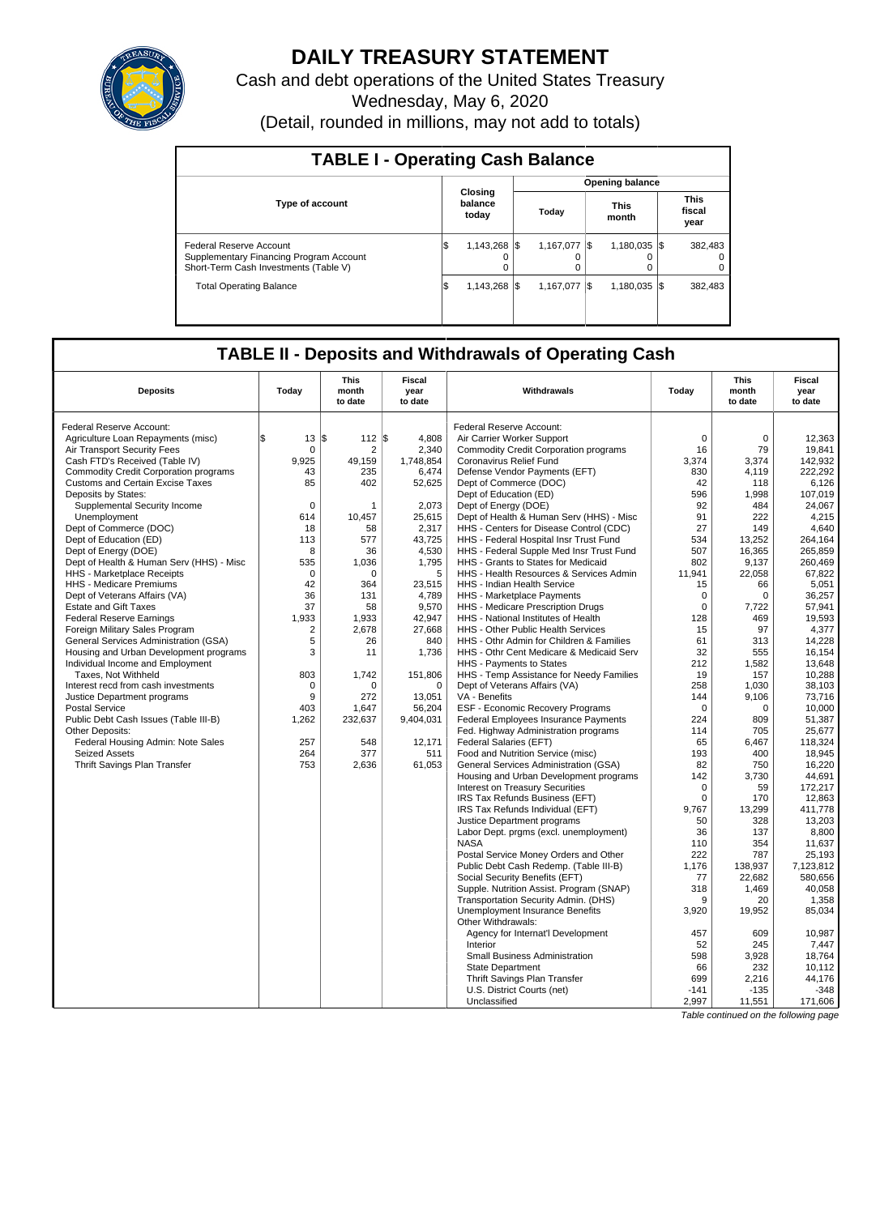

# **DAILY TREASURY STATEMENT**

Cash and debt operations of the United States Treasury Wednesday, May 6, 2020

| (Detail, rounded in millions, may not add to totals) |  |  |  |
|------------------------------------------------------|--|--|--|
|------------------------------------------------------|--|--|--|

| <b>TABLE I - Operating Cash Balance</b>                                                                     |     |                             |  |                        |     |                      |  |                               |  |  |
|-------------------------------------------------------------------------------------------------------------|-----|-----------------------------|--|------------------------|-----|----------------------|--|-------------------------------|--|--|
|                                                                                                             |     |                             |  | <b>Opening balance</b> |     |                      |  |                               |  |  |
| <b>Type of account</b>                                                                                      |     | Closing<br>balance<br>today |  | Today                  |     | <b>This</b><br>month |  | <b>This</b><br>fiscal<br>year |  |  |
| Federal Reserve Account<br>Supplementary Financing Program Account<br>Short-Term Cash Investments (Table V) | Ι\$ | 1.143.268 \\                |  | 1.167.077<br>O         | I\$ | $1.180.035$ S        |  | 382.483<br>0<br>$\Omega$      |  |  |
| <b>Total Operating Balance</b>                                                                              | Ι\$ | 1.143.268 \\                |  | 1.167.077              | I\$ | $1.180.035$ S        |  | 382.483                       |  |  |

# **TABLE II - Deposits and Withdrawals of Operating Cash**

| <b>Deposits</b>                              | Today          | <b>This</b><br>month<br>to date | Fiscal<br>year<br>to date | Withdrawals                                           | Today       | <b>This</b><br>month<br>to date | <b>Fiscal</b><br>year<br>to date |
|----------------------------------------------|----------------|---------------------------------|---------------------------|-------------------------------------------------------|-------------|---------------------------------|----------------------------------|
| <b>Federal Reserve Account:</b>              |                |                                 |                           | Federal Reserve Account:                              |             |                                 |                                  |
| Agriculture Loan Repayments (misc)           | 13<br>l\$      | 112 S<br>l\$                    | 4,808                     | Air Carrier Worker Support                            | 0           | 0                               | 12,363                           |
| <b>Air Transport Security Fees</b>           | $\Omega$       | $\overline{2}$                  | 2.340                     | <b>Commodity Credit Corporation programs</b>          | 16          | 79                              | 19.841                           |
| Cash FTD's Received (Table IV)               | 9.925          | 49.159                          | 1,748,854                 | Coronavirus Relief Fund                               | 3,374       | 3,374                           | 142.932                          |
| <b>Commodity Credit Corporation programs</b> | 43             | 235                             | 6,474                     | Defense Vendor Payments (EFT)                         | 830         | 4,119                           | 222,292                          |
| <b>Customs and Certain Excise Taxes</b>      | 85             | 402                             | 52,625                    | Dept of Commerce (DOC)                                | 42          | 118                             | 6,126                            |
| Deposits by States:                          |                |                                 |                           | Dept of Education (ED)                                | 596         | 1,998                           | 107,019                          |
| Supplemental Security Income                 | 0              | 1                               | 2,073                     | Dept of Energy (DOE)                                  | 92          | 484                             | 24.067                           |
| Unemployment                                 | 614            | 10,457                          | 25,615                    | Dept of Health & Human Serv (HHS) - Misc              | 91          | 222                             | 4,215                            |
| Dept of Commerce (DOC)                       | 18             | 58                              | 2,317                     | HHS - Centers for Disease Control (CDC)               | 27          | 149                             | 4.640                            |
| Dept of Education (ED)                       | 113            | 577                             | 43.725                    | HHS - Federal Hospital Insr Trust Fund                | 534         | 13,252                          | 264.164                          |
| Dept of Energy (DOE)                         | 8              | 36                              | 4,530                     | HHS - Federal Supple Med Insr Trust Fund              | 507         | 16.365                          | 265.859                          |
| Dept of Health & Human Serv (HHS) - Misc     | 535            | 1,036                           | 1,795                     | HHS - Grants to States for Medicaid                   | 802         | 9,137                           | 260.469                          |
| HHS - Marketplace Receipts                   | $\mathbf 0$    | $\mathbf 0$                     | 5                         | HHS - Health Resources & Services Admin               | 11,941      | 22,058                          | 67,822                           |
| HHS - Medicare Premiums                      | 42             | 364                             | 23,515                    | HHS - Indian Health Service                           | 15          | 66                              | 5,051                            |
| Dept of Veterans Affairs (VA)                | 36             | 131                             | 4,789                     | HHS - Marketplace Payments                            | $\mathbf 0$ | $\mathbf 0$                     | 36,257                           |
| <b>Estate and Gift Taxes</b>                 | 37             | 58                              | 9,570                     | HHS - Medicare Prescription Drugs                     | $\Omega$    | 7.722                           | 57.941                           |
| <b>Federal Reserve Earnings</b>              | 1,933          | 1,933                           | 42,947                    | HHS - National Institutes of Health                   | 128         | 469                             | 19,593                           |
| Foreign Military Sales Program               | $\overline{2}$ | 2,678                           | 27.668                    | HHS - Other Public Health Services                    | 15          | 97                              | 4,377                            |
| General Services Administration (GSA)        | 5              | 26                              | 840                       | HHS - Othr Admin for Children & Families              | 61          | 313                             | 14.228                           |
| Housing and Urban Development programs       | 3              | 11                              | 1,736                     | HHS - Othr Cent Medicare & Medicaid Serv              | 32          | 555                             | 16,154                           |
| Individual Income and Employment             |                |                                 |                           | HHS - Payments to States                              | 212         | 1,582                           | 13,648                           |
| Taxes, Not Withheld                          | 803            | 1,742                           | 151,806                   | HHS - Temp Assistance for Needy Families              | 19          | 157                             | 10,288                           |
| Interest recd from cash investments          | $\Omega$       | $\Omega$                        | $\Omega$                  | Dept of Veterans Affairs (VA)                         | 258         | 1.030                           | 38.103                           |
| Justice Department programs                  | 9              | 272                             | 13,051                    | VA - Benefits                                         | 144         | 9.106                           | 73.716                           |
| <b>Postal Service</b>                        | 403            | 1,647                           | 56,204                    | <b>ESF - Economic Recovery Programs</b>               | $\Omega$    | $\Omega$                        | 10,000                           |
| Public Debt Cash Issues (Table III-B)        | 1,262          | 232,637                         | 9,404,031                 | Federal Employees Insurance Payments                  | 224         | 809                             | 51,387                           |
| <b>Other Deposits:</b>                       |                |                                 |                           | Fed. Highway Administration programs                  | 114         | 705                             | 25,677                           |
| Federal Housing Admin: Note Sales            | 257            | 548                             | 12,171                    | Federal Salaries (EFT)                                | 65          | 6,467                           | 118,324                          |
| <b>Seized Assets</b>                         | 264            | 377                             | 511                       | Food and Nutrition Service (misc)                     | 193         | 400                             | 18,945                           |
| <b>Thrift Savings Plan Transfer</b>          | 753            | 2,636                           | 61,053                    | General Services Administration (GSA)                 | 82          | 750                             | 16,220                           |
|                                              |                |                                 |                           | Housing and Urban Development programs                | 142         | 3.730                           | 44.691                           |
|                                              |                |                                 |                           | <b>Interest on Treasury Securities</b>                | $\Omega$    | 59                              | 172,217                          |
|                                              |                |                                 |                           | IRS Tax Refunds Business (EFT)                        | $\Omega$    | 170                             | 12,863                           |
|                                              |                |                                 |                           | IRS Tax Refunds Individual (EFT)                      | 9,767       | 13,299                          | 411,778                          |
|                                              |                |                                 |                           | Justice Department programs                           | 50          | 328                             | 13,203                           |
|                                              |                |                                 |                           | Labor Dept. prgms (excl. unemployment)                | 36          | 137                             | 8,800                            |
|                                              |                |                                 |                           | <b>NASA</b>                                           | 110         | 354                             | 11,637                           |
|                                              |                |                                 |                           | Postal Service Money Orders and Other                 | 222         | 787                             | 25,193                           |
|                                              |                |                                 |                           | Public Debt Cash Redemp. (Table III-B)                | 1,176       | 138,937                         | 7.123.812                        |
|                                              |                |                                 |                           | Social Security Benefits (EFT)                        | 77          | 22.682                          | 580.656                          |
|                                              |                |                                 |                           | Supple. Nutrition Assist. Program (SNAP)              | 318         | 1,469                           | 40,058                           |
|                                              |                |                                 |                           | Transportation Security Admin. (DHS)                  | 9           | 20                              | 1,358                            |
|                                              |                |                                 |                           | Unemployment Insurance Benefits<br>Other Withdrawals: | 3,920       | 19,952                          | 85,034                           |
|                                              |                |                                 |                           | Agency for Internat'l Development                     | 457         | 609                             | 10.987                           |
|                                              |                |                                 |                           | Interior                                              | 52          | 245                             | 7,447                            |
|                                              |                |                                 |                           | <b>Small Business Administration</b>                  | 598         | 3,928                           | 18.764                           |
|                                              |                |                                 |                           | <b>State Department</b>                               | 66          | 232                             | 10.112                           |
|                                              |                |                                 |                           | Thrift Savings Plan Transfer                          | 699         | 2,216                           | 44,176                           |
|                                              |                |                                 |                           | U.S. District Courts (net)                            | $-141$      | $-135$                          | $-348$                           |
|                                              |                |                                 |                           | Unclassified                                          | 2,997       | 11,551                          | 171,606                          |

Table continued on the following page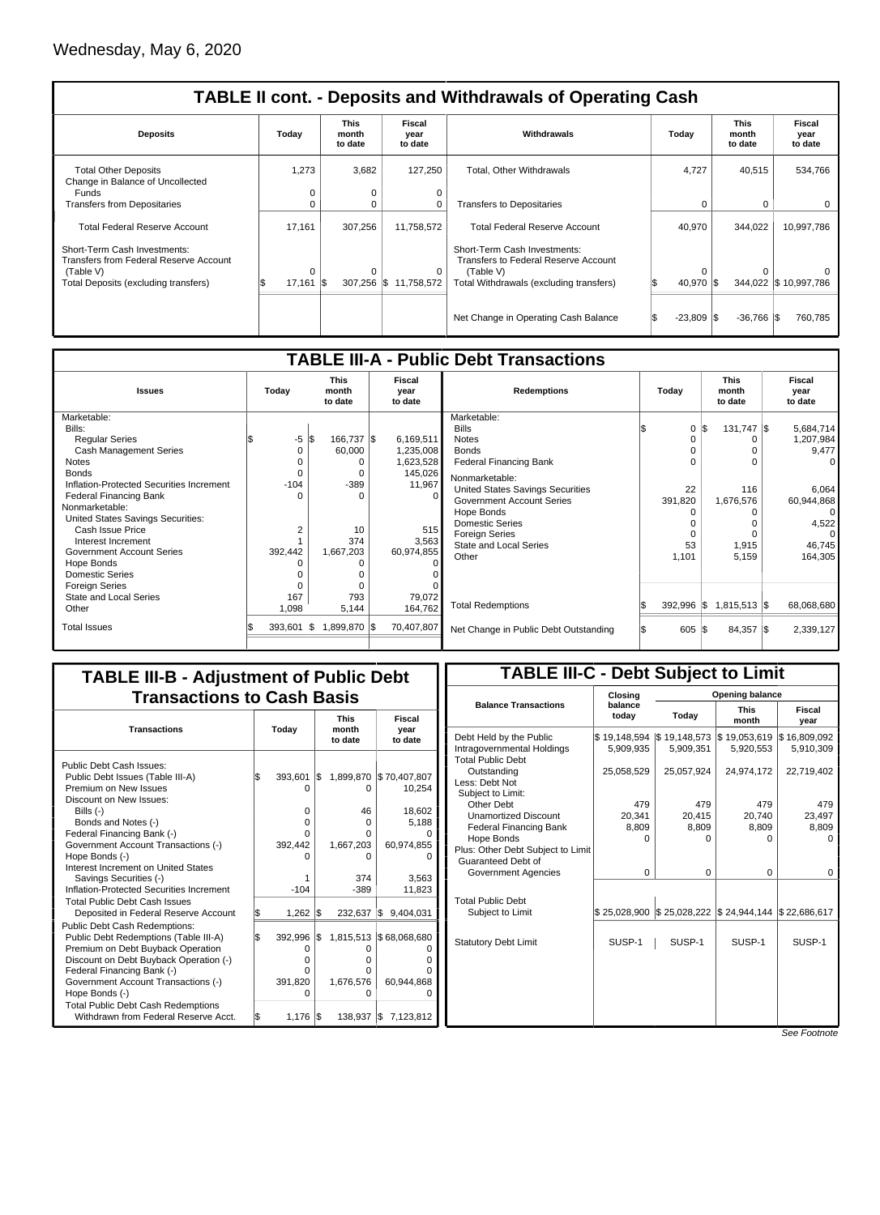| <b>TABLE II cont. - Deposits and Withdrawals of Operating Cash</b>       |                                 |                          |                           |                                                                      |                       |                                 |                           |  |  |  |  |
|--------------------------------------------------------------------------|---------------------------------|--------------------------|---------------------------|----------------------------------------------------------------------|-----------------------|---------------------------------|---------------------------|--|--|--|--|
| <b>Deposits</b>                                                          | Today                           | This<br>month<br>to date | Fiscal<br>year<br>to date | Withdrawals                                                          | Today                 | <b>This</b><br>month<br>to date | Fiscal<br>year<br>to date |  |  |  |  |
| <b>Total Other Deposits</b><br>Change in Balance of Uncollected<br>Funds | 1,273<br>0                      | 3,682<br>0               | 127,250<br>0              | Total, Other Withdrawals                                             | 4,727                 | 40,515                          | 534,766                   |  |  |  |  |
| <b>Transfers from Depositaries</b>                                       | 0                               | 0                        | 0                         | <b>Transfers to Depositaries</b>                                     | 0                     | 0                               | 0                         |  |  |  |  |
| <b>Total Federal Reserve Account</b>                                     | 17.161                          | 307,256                  | 11,758,572                | <b>Total Federal Reserve Account</b>                                 | 40,970                | 344,022                         | 10,997,786                |  |  |  |  |
| Short-Term Cash Investments:<br>Transfers from Federal Reserve Account   |                                 |                          |                           | Short-Term Cash Investments:<br>Transfers to Federal Reserve Account |                       |                                 |                           |  |  |  |  |
| (Table V)<br>Total Deposits (excluding transfers)                        | $\Omega$<br>$17,161$ $\sqrt{5}$ | $\Omega$<br>$307,256$ \$ | 0<br>11.758.572           | (Table V)<br>Total Withdrawals (excluding transfers)                 | $\Omega$<br>40,970 \$ |                                 | 344,022 \$10,997,786      |  |  |  |  |
|                                                                          |                                 |                          |                           |                                                                      |                       |                                 |                           |  |  |  |  |
|                                                                          |                                 |                          |                           | Net Change in Operating Cash Balance                                 | $-23,809$             | -1\$<br>$-36,766$ $\sqrt{\$}$   | 760,785                   |  |  |  |  |

| <b>TABLE III-A - Public Debt Transactions</b> |          |                                 |                           |                                       |                  |                                 |                           |  |  |  |  |
|-----------------------------------------------|----------|---------------------------------|---------------------------|---------------------------------------|------------------|---------------------------------|---------------------------|--|--|--|--|
| <b>Issues</b>                                 | Today    | <b>This</b><br>month<br>to date | Fiscal<br>year<br>to date | <b>Redemptions</b>                    | Today            | <b>This</b><br>month<br>to date | Fiscal<br>year<br>to date |  |  |  |  |
| Marketable:                                   |          |                                 |                           | Marketable:                           |                  |                                 |                           |  |  |  |  |
| Bills:                                        |          |                                 |                           | <b>Bills</b>                          | 0                | $131,747$ \\$<br>l\$            | 5,684,714                 |  |  |  |  |
| <b>Reqular Series</b>                         | -5       | l\$<br>166,737 \$               | 6,169,511                 | <b>Notes</b>                          |                  |                                 | 1,207,984                 |  |  |  |  |
| <b>Cash Management Series</b>                 | $\Omega$ | 60,000                          | 1,235,008                 | <b>Bonds</b>                          |                  |                                 | 9,477                     |  |  |  |  |
| <b>Notes</b>                                  |          |                                 | 1,623,528                 | <b>Federal Financing Bank</b>         |                  |                                 | <sup>0</sup>              |  |  |  |  |
| <b>Bonds</b>                                  | $\Omega$ | 0                               | 145,026                   | Nonmarketable:                        |                  |                                 |                           |  |  |  |  |
| Inflation-Protected Securities Increment      | $-104$   | $-389$                          | 11,967                    | United States Savings Securities      | 22               | 116                             | 6.064                     |  |  |  |  |
| <b>Federal Financing Bank</b>                 | n        | $\Omega$                        | $\Omega$                  | <b>Government Account Series</b>      | 391,820          | 1,676,576                       | 60,944,868                |  |  |  |  |
| Nonmarketable:                                |          |                                 |                           | Hope Bonds                            |                  |                                 | $\Omega$                  |  |  |  |  |
| United States Savings Securities:             |          |                                 |                           | <b>Domestic Series</b>                |                  | 0                               | 4,522                     |  |  |  |  |
| Cash Issue Price                              | 2        | 10                              | 515                       | <b>Foreign Series</b>                 |                  | $\Omega$                        | $\Omega$                  |  |  |  |  |
| Interest Increment                            |          | 374                             | 3,563                     | State and Local Series                | 53               | 1,915                           | 46,745                    |  |  |  |  |
| Government Account Series                     | 392,442  | 1,667,203                       | 60,974,855                | Other                                 | 1.101            | 5,159                           | 164,305                   |  |  |  |  |
| Hope Bonds                                    | O        | $\Omega$                        |                           |                                       |                  |                                 |                           |  |  |  |  |
| <b>Domestic Series</b>                        |          |                                 |                           |                                       |                  |                                 |                           |  |  |  |  |
| <b>Foreign Series</b>                         |          | $\Omega$                        |                           |                                       |                  |                                 |                           |  |  |  |  |
| State and Local Series                        | 167      | 793                             | 79,072                    | <b>Total Redemptions</b>              | $392,996$ \\$    | $1,815,513$ \$                  | 68,068,680                |  |  |  |  |
| Other                                         | 1,098    | 5,144                           | 164,762                   |                                       |                  |                                 |                           |  |  |  |  |
| <b>Total Issues</b>                           | 393,601  | 1,899,870 \$<br>1\$             | 70,407,807                | Net Change in Public Debt Outstanding | $605$ $\sqrt{5}$ | $84,357$ \\$                    | 2,339,127                 |  |  |  |  |

## **TABLE III-B - Adjustment of Public Debt Transactions to Cash Basis**

| <b>Transactions</b>                       | Today |         |     | <b>This</b><br>month<br>to date | Fiscal<br>year<br>to date |  |
|-------------------------------------------|-------|---------|-----|---------------------------------|---------------------------|--|
| Public Debt Cash Issues:                  |       |         |     |                                 |                           |  |
| Public Debt Issues (Table III-A)          | l\$   | 393,601 | \$  | 1,899,870                       | \$70,407,807              |  |
| Premium on New Issues                     |       | O       |     | O                               | 10,254                    |  |
| Discount on New Issues:                   |       |         |     |                                 |                           |  |
| Bills $(-)$                               |       | 0       |     | 46                              | 18,602                    |  |
| Bonds and Notes (-)                       |       | 0       |     | 0                               | 5.188                     |  |
| Federal Financing Bank (-)                |       | Ω       |     |                                 |                           |  |
| Government Account Transactions (-)       |       | 392,442 |     | 1,667,203                       | 60,974,855                |  |
| Hope Bonds (-)                            |       |         |     |                                 |                           |  |
| Interest Increment on United States       |       |         |     |                                 |                           |  |
| Savings Securities (-)                    |       |         |     | 374                             | 3,563                     |  |
| Inflation-Protected Securities Increment  |       | $-104$  |     | $-389$                          | 11,823                    |  |
| Total Public Debt Cash Issues             |       |         |     |                                 |                           |  |
| Deposited in Federal Reserve Account      | \$    | 1,262   | l\$ | 232,637                         | ISS .<br>9,404,031        |  |
| <b>Public Debt Cash Redemptions:</b>      |       |         |     |                                 |                           |  |
| Public Debt Redemptions (Table III-A)     | l\$   | 392,996 | I\$ |                                 | 1,815,513 \$68,068,680    |  |
| Premium on Debt Buyback Operation         |       |         |     |                                 |                           |  |
| Discount on Debt Buyback Operation (-)    |       | Ω       |     |                                 |                           |  |
| Federal Financing Bank (-)                |       |         |     |                                 |                           |  |
| Government Account Transactions (-)       |       | 391,820 |     | 1,676,576                       | 60,944,868                |  |
| Hope Bonds (-)                            |       | O       |     |                                 |                           |  |
| <b>Total Public Debt Cash Redemptions</b> |       |         |     |                                 |                           |  |
| Withdrawn from Federal Reserve Acct.      | l\$   | 1,176   | I\$ | 138,937                         | 7,123,812<br>I\$          |  |

## **TABLE III-C - Debt Subject to Limit**

|                                   | Closing          |              | Opening balance           |                |
|-----------------------------------|------------------|--------------|---------------------------|----------------|
| <b>Balance Transactions</b>       | balance<br>today | Today        | <b>This</b><br>month      | Fiscal<br>year |
| Debt Held by the Public           | \$19,148,594     | \$19,148,573 | \$19,053,619              | \$16,809,092   |
| Intragovernmental Holdings        | 5,909,935        | 5,909,351    | 5,920,553                 | 5,910,309      |
| <b>Total Public Debt</b>          |                  |              |                           |                |
| Outstanding                       | 25,058,529       | 25,057,924   | 24,974,172                | 22,719,402     |
| Less: Debt Not                    |                  |              |                           |                |
| Subject to Limit:                 |                  |              |                           |                |
| Other Debt                        | 479              | 479          | 479                       | 479            |
| <b>Unamortized Discount</b>       | 20,341           | 20,415       | 20,740                    | 23,497         |
| <b>Federal Financing Bank</b>     | 8,809            | 8,809        | 8,809                     | 8,809          |
| Hope Bonds                        | 0                | 0            | 0                         | $\Omega$       |
| Plus: Other Debt Subject to Limit |                  |              |                           |                |
| Guaranteed Debt of                |                  |              |                           |                |
| Government Agencies               | 0                | 0            | 0                         | 0              |
|                                   |                  |              |                           |                |
| <b>Total Public Debt</b>          |                  |              |                           |                |
| Subject to Limit                  | \$25,028,900     | \$25,028,222 | \$24,944,144 \$22,686,617 |                |
|                                   |                  |              |                           |                |
|                                   |                  |              |                           |                |
| <b>Statutory Debt Limit</b>       | SUSP-1           | SUSP-1       | SUSP-1                    | SUSP-1         |
|                                   |                  |              |                           |                |
|                                   |                  |              |                           |                |
|                                   |                  |              |                           |                |
|                                   |                  |              |                           |                |
|                                   |                  |              |                           |                |
|                                   |                  |              |                           |                |
|                                   |                  |              |                           | $\overline{ }$ |

See Footnote